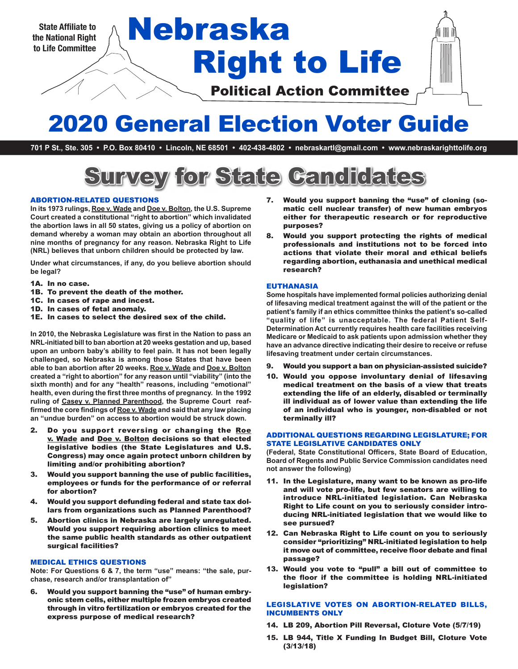

# Right to Life State Affiliate to **Nebraska**

Political Action Committee

## 2020 General Election Voter Guide

**701 P St., Ste. 305 • P.O. Box 80410 • Lincoln, NE 68501 • 402-438-4802 • nebraskartl@gmail.com • www.nebraskarighttolife.org**

# Survey for State Candidates

#### ABORTION-RELATED QUESTIONS

**In its 1973 rulings, Roe v. Wade and Doe v. Bolton, the U.S. Supreme Court created a constitutional "right to abortion" which invalidated the abortion laws in all 50 states, giving us a policy of abortion on demand whereby a woman may obtain an abortion throughout all nine months of pregnancy for any reason. Nebraska Right to Life (NRL) believes that unborn children should be protected by law.** 

**Under what circumstances, if any, do you believe abortion should be legal?**

- 1A. In no case.
- 1B. To prevent the death of the mother.
- 1C. In cases of rape and incest.
- 1D. In cases of fetal anomaly.

1E. In cases to select the desired sex of the child.

**In 2010, the Nebraska Legislature was first in the Nation to pass an NRL-initiated bill to ban abortion at 20 weeks gestation and up, based upon an unborn baby's ability to feel pain. It has not been legally challenged, so Nebraska is among those States that have been able to ban abortion after 20 weeks. Roe v. Wade and Doe v. Bolton created a "right to abortion" for any reason until "viability" (into the sixth month) and for any "health" reasons, including "emotional" health, even during the first three months of pregnancy. In the 1992 ruling of Casey v. Planned Parenthood, the Supreme Court reaffirmed the core findings of Roe v. Wade and said that any law placing an "undue burden" on access to abortion would be struck down.**

- 2. Do you support reversing or changing the Roe v. Wade and Doe v. Bolton decisions so that elected legislative bodies (the State Legislatures and U.S. Congress) may once again protect unborn children by limiting and/or prohibiting abortion?
- 3. Would you support banning the use of public facilities, employees or funds for the performance of or referral for abortion?
- 4. Would you support defunding federal and state tax dollars from organizations such as Planned Parenthood?
- 5. Abortion clinics in Nebraska are largely unregulated. Would you support requiring abortion clinics to meet the same public health standards as other outpatient surgical facilities?

#### MEDICAL ETHICS QUESTIONS

**Note: For Questions 6 & 7, the term "use" means: "the sale, purchase, research and/or transplantation of"**

6. Would you support banning the "use" of human embryonic stem cells, either multiple frozen embryos created through in vitro fertilization or embryos created for the express purpose of medical research?

- 7. Would you support banning the "use" of cloning (somatic cell nuclear transfer) of new human embryos either for therapeutic research or for reproductive purposes?
- 8. Would you support protecting the rights of medical professionals and institutions not to be forced into actions that violate their moral and ethical beliefs regarding abortion, euthanasia and unethical medical research?

#### EUTHANASIA

**Some hospitals have implemented formal policies authorizing denial of lifesaving medical treatment against the will of the patient or the patient's family if an ethics committee thinks the patient's so-called "quality of life" is unacceptable. The federal Patient Self-Determination Act currently requires health care facilities receiving Medicare or Medicaid to ask patients upon admission whether they have an advance directive indicating their desire to receive or refuse lifesaving treatment under certain circumstances.** 

- 9. Would you support a ban on physician-assisted suicide?
- 10. Would you oppose involuntary denial of lifesaving medical treatment on the basis of a view that treats extending the life of an elderly, disabled or terminally ill individual as of lower value than extending the life of an individual who is younger, non-disabled or not terminally ill?

#### ADDITIONAL QUESTIONS REGARDING LEGISLATURE; FOR STATE LEGISLATIVE CANDIDATES ONLY

**(Federal, State Constitutional Officers, State Board of Education, Board of Regents and Public Service Commission candidates need not answer the following)**

- 11. In the Legislature, many want to be known as pro-life and will vote pro-life, but few senators are willing to introduce NRL-initiated legislation. Can Nebraska Right to Life count on you to seriously consider introducing NRL-initiated legislation that we would like to see pursued?
- 12. Can Nebraska Right to Life count on you to seriously consider "prioritizing" NRL-initiated legislation to help it move out of committee, receive floor debate and final passage?
- 13. Would you vote to "pull" a bill out of committee to the floor if the committee is holding NRL-initiated legislation?

#### LEGISLATIVE VOTES ON ABORTION-RELATED BILLS, INCUMBENTS ONLY

- 14. LB 209, Abortion Pill Reversal, Cloture Vote (5/7/19)
- 15. LB 944, Title X Funding In Budget Bill, Cloture Vote (3/13/18)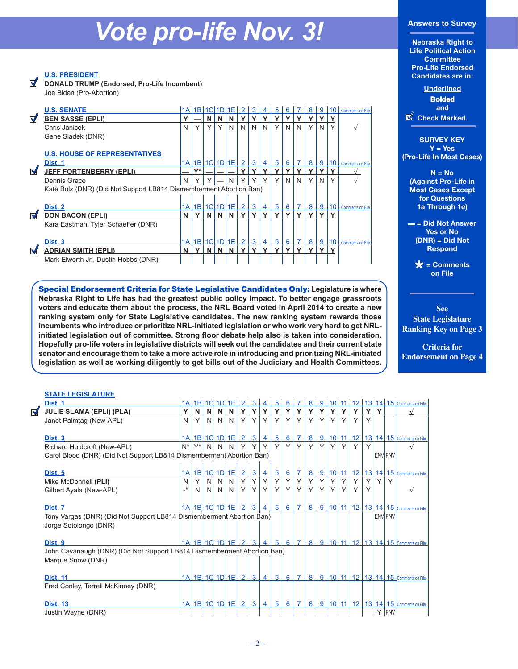## *Vote pro-life Nov. 3!*

**U.S. PRESIDENT**

ನ

**DONALD TRUMP (Endorsed, Pro-Life Incumbent)** Joe Biden (Pro-Abortion)

|   | <b>U.S. SENATE</b>                                                 |      |                |   | 1A 1B 1C 1D 1E           |   |                | 3 | 4 | 5            | 6 |   | 8              | 9              | 10 <sup>°</sup> | <b>Comments on File</b> |
|---|--------------------------------------------------------------------|------|----------------|---|--------------------------|---|----------------|---|---|--------------|---|---|----------------|----------------|-----------------|-------------------------|
| M | <b>BEN SASSE (EPLI)</b>                                            |      |                | N | N                        | N |                |   |   |              |   |   |                |                |                 |                         |
|   | Chris Janicek                                                      | N    | Y              | Υ | Y                        | N | N              | N | N | Υ            | N | N | Υ              | N              | Υ               |                         |
|   | Gene Siadek (DNR)                                                  |      |                |   |                          |   |                |   |   |              |   |   |                |                |                 |                         |
|   |                                                                    |      |                |   |                          |   |                |   |   |              |   |   |                |                |                 |                         |
|   | <b>U.S. HOUSE OF REPRESENTATIVES</b>                               |      |                |   |                          |   |                |   |   |              |   |   |                |                |                 |                         |
|   | Dist. 1                                                            |      |                |   | 1A 1B 1C 1D 1E           |   | $\overline{2}$ | 3 | 4 | 5            | 6 |   | 8              | 9              | 10              | <b>Comments on File</b> |
| M | <b>JEFF FORTENBERRY (EPLI)</b>                                     |      | $\mathbf{v}^*$ |   |                          |   |                |   |   |              |   |   |                |                |                 |                         |
|   | Dennis Grace                                                       | N    |                |   |                          | N |                | ∨ | Υ | v            | N | N | Υ              | N              | Υ               |                         |
|   | Kate Bolz (DNR) (Did Not Support LB814 Dismemberment Abortion Ban) |      |                |   |                          |   |                |   |   |              |   |   |                |                |                 |                         |
|   |                                                                    |      |                |   |                          |   |                |   |   |              |   |   |                |                |                 |                         |
|   | Dist. 2                                                            |      |                |   | $1A$ $1B$ $1C$ $1D$ $1E$ |   | $\mathcal{P}$  | 3 | 4 | 5            | 6 |   | 8 <sup>1</sup> | 9 <sup>1</sup> | 10 <sup>1</sup> | <b>Comments on File</b> |
| M | <b>DON BACON (EPLI)</b>                                            | N    |                | N | N                        | N |                | v | Y | v            | v | v | Y              | v              | v               |                         |
|   | Kara Eastman, Tyler Schaeffer (DNR)                                |      |                |   |                          |   |                |   |   |              |   |   |                |                |                 |                         |
|   |                                                                    |      |                |   |                          |   |                |   |   |              |   |   |                |                |                 |                         |
|   |                                                                    |      |                |   |                          |   |                |   |   |              |   |   |                |                |                 |                         |
|   | Dist. 3                                                            | 1A I | 1B             |   | $1C$ $1D$ $1E$           |   | $\overline{2}$ | 3 | 4 | 5            | 6 |   | 8              | 9              | 10 <sup>°</sup> | <b>Comments on File</b> |
| ನ | <b>ADRIAN SMITH (EPLI)</b>                                         | N    |                | N |                          | N |                | v | v | $\checkmark$ | v |   | v              |                |                 |                         |

Special Endorsement Criteria for State Legislative Candidates Only: **Legislature is where Nebraska Right to Life has had the greatest public policy impact. To better engage grassroots voters and educate them about the process, the NRL Board voted in April 2014 to create a new ranking system only for State Legislative candidates. The new ranking system rewards those incumbents who introduce or prioritize NRL-initiated legislation or who work very hard to get NRLinitiated legislation out of committee. Strong floor debate help also is taken into consideration. Hopefully pro-life voters in legislative districts will seek out the candidates and their current state senator and encourage them to take a more active role in introducing and prioritizing NRL-initiated legislation as well as working diligently to get bills out of the Judiciary and Health Committees.**

#### **Answers to Survey**

**Nebraska Right to Life Political Action Committee Pro-Life Endorsed Candidates are in:**

> **Underlined Bolded and**



**SURVEY KEY Y = Yes (Pro-Life In Most Cases)** 

**N = No (Against Pro-Life in Most Cases Except for Questions 1a Through 1e)** 

**– = Did Not Answer Yes or No (DNR) = Did Not Respond** 

> **\* = Comments on File**

**See State Legislature Ranking Key on Page 3** 

**Criteria for Endorsement on Page 4**

#### **STATE LEGISLATURE**

 $\blacktriangledown$ 

| Dist. 1                                                                 |     |            | 1A 1B 1C 1D 1E                      |                |             | $\mathcal{P}$    | 3              |                | 5               | 6        |                | 8              | 9 | 10 <sup>1</sup> |          |        |        |    |                | 11   12   13   14   15   Comments on File          |
|-------------------------------------------------------------------------|-----|------------|-------------------------------------|----------------|-------------|------------------|----------------|----------------|-----------------|----------|----------------|----------------|---|-----------------|----------|--------|--------|----|----------------|----------------------------------------------------|
| <b>JULIE SLAMA (EPLI) (PLA)</b>                                         | Y   | N          | N                                   | N              | <b>N</b>    | Y                | Y              | Y              | Y               | Y        | Y              | $\mathbf v$    | Y | <b>Y</b>        | <b>v</b> | Y      | Y.     | Y. |                |                                                    |
| Janet Palmtag (New-APL)                                                 | N   | Y          | N                                   | N              | N           | Y                | Y              | Y              | Y               | Y        | Y              | $\vee$         | Y | Y               | Y        | $\vee$ | $\vee$ |    |                |                                                    |
|                                                                         |     |            |                                     |                |             |                  |                |                |                 |          |                |                |   |                 |          |        |        |    |                |                                                    |
| Dist. 3                                                                 |     |            | $1A$ 1B $1C$ 1D 1E                  |                |             | $\left(2\right)$ | 3              | 4 <sup>1</sup> | $5\overline{5}$ | $6 \mid$ | $\overline{7}$ | 8              |   |                 |          |        |        |    |                | 9   10   11   12   13   14   15   Comments on File |
| Richard Holdcroft (New-APL)                                             |     | $N^* Y^* $ |                                     |                | $N$ $N$ $N$ | Y                | Y              | Y              | Y               | Y        | Y              | $\checkmark$   | Υ |                 | Y        | Y      | Y      |    |                |                                                    |
| Carol Blood (DNR) (Did Not Support LB814 Dismemberment Abortion Ban)    |     |            |                                     |                |             |                  |                |                |                 |          |                |                |   |                 |          |        |        |    | <b>ENV PNV</b> |                                                    |
|                                                                         |     |            |                                     |                |             |                  |                |                |                 |          |                |                |   |                 |          |        |        |    |                |                                                    |
| Dist. 5                                                                 |     |            | $1A$ 1B 1C 1D 1E                    |                |             | $\left(2\right)$ | 3              | 4              | $5^{\circ}$     | $6 \mid$ | $\overline{7}$ | 8              |   |                 |          |        |        |    |                | 9   10   11   12   13   14   15   Comments on File |
| Mike McDonnell (PLI)                                                    | N   | Y          | N                                   | N              | N.          | Y                |                |                | Y               | Y        | Y              | Y              | Υ |                 | Υ        | Y      | Y      | Y. |                |                                                    |
| Gilbert Ayala (New-APL)                                                 | _*_ | N          | N <sub>1</sub>                      | N <sub>1</sub> | N           | Y                | Y              | Y              | $\mathsf{Y}$    | Y        | Y              | Y              | Y | Y               | Y        | Y      | Y      |    |                |                                                    |
|                                                                         |     |            |                                     |                |             |                  |                |                |                 |          |                |                |   |                 |          |        |        |    |                |                                                    |
| Dist. 7                                                                 |     |            | 1A 1B 1C 1D 1E 2 3 4 5 6 7          |                |             |                  |                |                |                 |          |                | 8 <sup>1</sup> |   |                 |          |        |        |    |                | 9   10   11   12   13   14   15   Comments on File |
| Tony Vargas (DNR) (Did Not Support LB814 Dismemberment Abortion Ban)    |     |            |                                     |                |             |                  |                |                |                 |          |                |                |   |                 |          |        |        |    | <b>ENV PNV</b> |                                                    |
| Jorge Sotolongo (DNR)                                                   |     |            |                                     |                |             |                  |                |                |                 |          |                |                |   |                 |          |        |        |    |                |                                                    |
|                                                                         |     |            |                                     |                |             |                  |                |                |                 |          |                |                |   |                 |          |        |        |    |                |                                                    |
| Dist. 9                                                                 |     |            | <u>1A 1B 1C 1D 1E 2 3 4 5 6 7 8</u> |                |             |                  |                |                |                 |          |                |                |   |                 |          |        |        |    |                | 9   10   11   12   13   14   15   Comments on File |
| John Cavanaugh (DNR) (Did Not Support LB814 Dismemberment Abortion Ban) |     |            |                                     |                |             |                  |                |                |                 |          |                |                |   |                 |          |        |        |    |                |                                                    |
| Marque Snow (DNR)                                                       |     |            |                                     |                |             |                  |                |                |                 |          |                |                |   |                 |          |        |        |    |                |                                                    |
|                                                                         |     |            |                                     |                |             |                  |                |                |                 |          |                |                |   |                 |          |        |        |    |                |                                                    |
| <b>Dist. 11</b>                                                         |     |            | $1A$ 1B 1C 1D 1E                    |                |             | $\overline{2}$   | 3              | $\overline{4}$ | $5^{\circ}$     |          | $6 \mid 7$     | 8              |   |                 |          |        |        |    |                | 9   10   11   12   13   14   15   Comments on File |
| Fred Conley, Terrell McKinney (DNR)                                     |     |            |                                     |                |             |                  |                |                |                 |          |                |                |   |                 |          |        |        |    |                |                                                    |
|                                                                         |     |            |                                     |                |             |                  |                |                |                 |          |                |                |   |                 |          |        |        |    |                |                                                    |
| <b>Dist. 13</b>                                                         |     |            | 1A 1B 1C 1D 1E                      |                |             | $\overline{2}$   | 3 <sup>1</sup> | $\overline{4}$ | $5\overline{5}$ | 6        | $\overline{7}$ | 8              |   |                 |          |        |        |    |                | 9   10   11   12   13   14   15   Comments on File |
| Justin Wayne (DNR)                                                      |     |            |                                     |                |             |                  |                |                |                 |          |                |                |   |                 |          |        |        |    | Y <b>PNV</b>   |                                                    |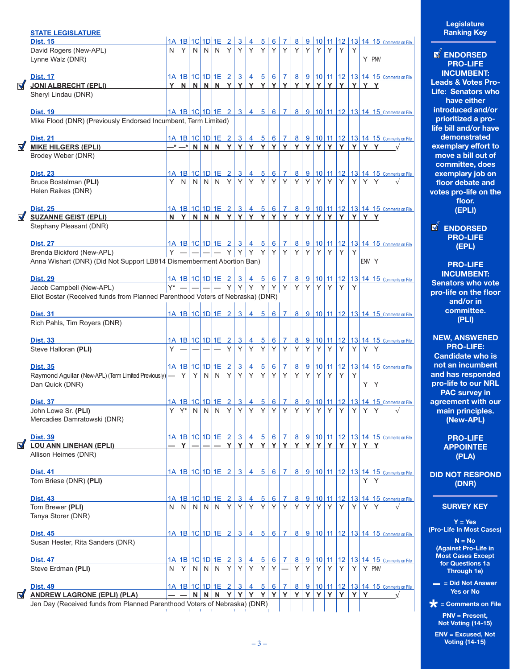|                      | <b>STATE LEGISLATURE</b>                                                       |       |          |   |    |                                                          |   |                     |                     |                     |                      |                   |             |   |          |    |           |   |         |              |                                                                   |
|----------------------|--------------------------------------------------------------------------------|-------|----------|---|----|----------------------------------------------------------|---|---------------------|---------------------|---------------------|----------------------|-------------------|-------------|---|----------|----|-----------|---|---------|--------------|-------------------------------------------------------------------|
|                      | <b>Dist. 15</b>                                                                |       |          |   |    | 1A 1B 1C 1D 1E 2 3 4                                     |   |                     |                     |                     |                      | 5 6 7             | $\boxed{8}$ |   |          |    |           |   |         |              | 9 10 11 12 13 14 15 Comments on File                              |
|                      | David Rogers (New-APL)                                                         | N     | Y        | N | N  | N                                                        | Y | Y                   | Y                   | Y                   | Y                    | Y                 | Y           | Y | Y        | Y  | Υ         | Y |         |              |                                                                   |
|                      | Lynne Walz (DNR)                                                               |       |          |   |    |                                                          |   |                     |                     |                     |                      |                   |             |   |          |    |           |   |         | $Y$ PNV      |                                                                   |
|                      |                                                                                |       |          |   |    |                                                          |   |                     |                     |                     |                      |                   |             |   |          |    |           |   |         |              |                                                                   |
|                      | Dist. 17                                                                       |       |          |   |    |                                                          |   |                     |                     |                     |                      |                   |             |   |          |    |           |   |         |              | 1A 1B 1C 1D 1E 2 3 4 5 6 7 8 9 10 11 12 13 14 15 Comments on File |
| $\blacksquare$       | <b>JONI ALBRECHT (EPLI)</b>                                                    |       |          |   |    | Y N N N N Y Y Y Y Y Y Y                                  |   |                     |                     |                     |                      |                   |             |   |          |    | Y Y Y Y Y | Y |         | Y Y          |                                                                   |
|                      | Sheryl Lindau (DNR)                                                            |       |          |   |    |                                                          |   |                     |                     |                     |                      |                   |             |   |          |    |           |   |         |              |                                                                   |
|                      | <b>Dist. 19</b>                                                                |       |          |   |    |                                                          |   |                     |                     |                     |                      |                   |             |   |          |    |           |   |         |              | 1A 1B 1C 1D 1E 2 3 4 5 6 7 8 9 10 11 12 13 14 15 Comments on File |
|                      | Mike Flood (DNR) (Previously Endorsed Incumbent, Term Limited)                 |       |          |   |    |                                                          |   |                     |                     |                     |                      |                   |             |   |          |    |           |   |         |              |                                                                   |
|                      |                                                                                |       |          |   |    |                                                          |   |                     |                     |                     |                      |                   |             |   |          |    |           |   |         |              |                                                                   |
|                      | <b>Dist. 21</b>                                                                |       |          |   |    | <u> 1A   1B   1C   1D   1E   2   3   4   5   6   7  </u> |   |                     |                     |                     |                      |                   |             |   |          |    |           |   |         |              | 8 9 10 11 12 13 14 15 Comments on File                            |
| $\blacktriangledown$ | MIKE HILGERS (EPLI)                                                            |       |          |   |    |                                                          |   |                     |                     |                     |                      |                   |             |   |          |    |           |   |         | YYY          |                                                                   |
|                      | Brodey Weber (DNR)                                                             |       |          |   |    |                                                          |   |                     |                     |                     |                      |                   |             |   |          |    |           |   |         |              |                                                                   |
|                      |                                                                                |       |          |   |    |                                                          |   |                     |                     |                     |                      |                   |             |   |          |    |           |   |         |              |                                                                   |
|                      | <b>Dist. 23</b>                                                                |       |          |   |    | $1A 1B 1C 1D 1E 2 3 4 5 6 7 $                            |   |                     |                     |                     |                      |                   |             |   |          |    |           |   |         |              | 8 9 10 11 12 13 14 15 Comments on File                            |
|                      | Bruce Bostelman (PLI)                                                          | Y     | N.       | N | N. | N                                                        | Y | $Y \vert$           | Y                   | Y                   | Y                    | Y                 | Y           | Y | Y        | Y  | Y         | Y | Y       | Υ            |                                                                   |
|                      | Helen Raikes (DNR)                                                             |       |          |   |    |                                                          |   |                     |                     |                     |                      |                   |             |   |          |    |           |   |         |              |                                                                   |
|                      |                                                                                |       |          |   |    |                                                          |   |                     |                     |                     |                      |                   |             |   |          |    |           |   |         |              |                                                                   |
|                      | <b>Dist. 25</b>                                                                |       |          |   |    | $N$ $Y$ $N$ $N$ $N$ $Y$ $Y$ $Y$ $Y$ $Y$                  |   |                     |                     |                     |                      |                   |             |   | YYYYY    |    |           |   |         |              | 1A 1B 1C 1D 1E 2 3 4 5 6 7 8 9 10 11 12 13 14 15 Comments on File |
| $\blacktriangledown$ | <b>SUZANNE GEIST (EPLI)</b><br>Stephany Pleasant (DNR)                         |       |          |   |    |                                                          |   |                     |                     |                     |                      |                   |             |   |          |    | Y         | Y | Y       | $\mathbf{Y}$ |                                                                   |
|                      |                                                                                |       |          |   |    |                                                          |   |                     |                     |                     |                      |                   |             |   |          |    |           |   |         |              |                                                                   |
|                      | <b>Dist. 27</b>                                                                |       |          |   |    | $1A$ 1B 1C 1D 1E 2 3 4 5                                 |   |                     |                     |                     | $6 \mid$             | $\overline{7}$    |             |   |          |    |           |   |         |              | 8 9 10 11 12 13 14 15 Comments on File                            |
|                      | Brenda Bickford (New-APL)                                                      |       | $Y$ $ -$ |   |    | $- - Y Y Y $                                             |   |                     |                     | Y                   | Y                    | Y                 | Y           | Y | Y        | Y  | Y         | Y |         |              |                                                                   |
|                      | Anna Wishart (DNR) (Did Not Support LB814 Dismemberment Abortion Ban)          |       |          |   |    |                                                          |   |                     |                     |                     |                      |                   |             |   |          |    |           |   | ENV Y   |              |                                                                   |
|                      |                                                                                |       |          |   |    |                                                          |   |                     |                     |                     |                      |                   |             |   |          |    |           |   |         |              |                                                                   |
|                      | <b>Dist. 29</b>                                                                |       |          |   |    | $1A$ 1B 1C 1D 1E 2 3 4 5 6 7                             |   |                     |                     |                     |                      |                   | 8           |   |          |    |           |   |         |              | 9 10 11 12 13 14 15 Comments on File                              |
|                      | Jacob Campbell (New-APL)                                                       | $Y^*$ |          |   |    | $- - - $ $\gamma$ $\gamma$ $\gamma$ $\gamma$ $\gamma$    |   |                     |                     |                     | Y                    | Y                 | Y           | Y | $Y \mid$ | Y  | Y         | Υ |         |              |                                                                   |
|                      | Eliot Bostar (Received funds from Planned Parenthood Voters of Nebraska) (DNR) |       |          |   |    |                                                          |   |                     |                     |                     |                      |                   |             |   |          |    |           |   |         |              |                                                                   |
|                      |                                                                                |       |          |   |    |                                                          |   |                     |                     |                     |                      |                   |             |   |          |    |           |   |         |              |                                                                   |
|                      | <b>Dist. 31</b>                                                                |       |          |   |    | $1A$ 1B $1C$ 1D 1E 2                                     |   | 3 <sup>1</sup>      | 4                   |                     |                      |                   |             |   |          |    |           |   |         |              | 5 6 7 8 9 10 11 12 13 14 15 Comments on File                      |
|                      | Rich Pahls, Tim Royers (DNR)                                                   |       |          |   |    |                                                          |   |                     |                     |                     |                      |                   |             |   |          |    |           |   |         |              |                                                                   |
|                      |                                                                                |       |          |   |    |                                                          |   |                     |                     |                     |                      |                   |             |   |          |    |           |   |         |              |                                                                   |
|                      | <b>Dist. 33</b><br>Steve Halloran (PLI)                                        | Y     |          |   |    | 1A 1B 1C 1D 1E 2                                         | Y | 3 <sup>1</sup><br>Y | 4 <sup>1</sup><br>Y | 5 <sup>1</sup><br>Y | $6\overline{6}$<br>Y | $\mathbf{7}$<br>Y | 8<br>Y      | Y | $Y \mid$ | Y  | Y         | Y | Y       | Y            | 9 10 11 12 13 14 15 Comments on File                              |
|                      |                                                                                |       |          |   |    |                                                          |   |                     |                     |                     |                      |                   |             |   |          |    |           |   |         |              |                                                                   |
|                      | <b>Dist. 35</b>                                                                |       |          |   |    | 1A 1B 1C 1D 1E 2                                         |   | $\overline{3}$      | $\overline{4}$      | $\overline{5}$      | 6                    | $\overline{7}$    | 8           |   |          |    |           |   |         |              | 9 10 11 12 13 14 15 Comments on File                              |
|                      | Raymond Aguilar (New-APL) (Term Limited Previously)                            |       | Y        | Y | N  | N                                                        | Y | Y                   | Y                   | Y                   | Y                    | Y                 | Y           | Y | Y        | Y  | Y         | Y |         |              |                                                                   |
|                      | Dan Quick (DNR)                                                                |       |          |   |    |                                                          |   |                     |                     |                     |                      |                   |             |   |          |    |           |   | Y       | Y            |                                                                   |
|                      |                                                                                |       |          |   |    |                                                          |   |                     |                     |                     |                      |                   |             |   |          |    |           |   |         |              |                                                                   |
|                      | <b>Dist. 37</b>                                                                |       |          |   |    |                                                          |   |                     |                     |                     |                      |                   |             |   |          |    |           |   |         |              | 1A 1B 1C 1D 1E 2 3 4 5 6 7 8 9 10 11 12 13 14 15 Comments on File |
|                      | John Lowe Sr. (PLI)                                                            |       |          |   |    |                                                          |   |                     |                     |                     |                      |                   |             |   |          |    |           |   | Y       |              | $\sqrt{ }$                                                        |
|                      | Mercadies Damratowski (DNR)                                                    |       |          |   |    |                                                          |   |                     |                     |                     |                      |                   |             |   |          |    |           |   |         |              |                                                                   |
|                      |                                                                                |       |          |   |    |                                                          |   |                     |                     |                     |                      |                   |             |   |          |    |           |   |         |              |                                                                   |
| $\blacksquare$       | <b>Dist. 39</b><br><b>LOU ANN LINEHAN (EPLI)</b>                               |       | Y        |   |    | 1A 1B 1C 1D 1E 234567                                    | Y |                     | Y Y Y Y Y           |                     |                      |                   |             |   | Y Y Y Y  |    | Y         | Y | $Y$ $Y$ |              | 8 9 10 11 12 13 14 15 Comments on File                            |
|                      | Allison Heimes (DNR)                                                           |       |          |   |    |                                                          |   |                     |                     |                     |                      |                   |             |   |          |    |           |   |         |              |                                                                   |
|                      |                                                                                |       |          |   |    |                                                          |   |                     |                     |                     |                      |                   |             |   |          |    |           |   |         |              |                                                                   |
|                      | <b>Dist. 41</b>                                                                |       |          |   |    | 1A 1B 1C 1D 1E 2 3 4 5 6 7                               |   |                     |                     |                     |                      |                   |             |   |          |    |           |   |         |              | 8 9 10 11 12 13 14 15 Comments on File                            |
|                      | Tom Briese (DNR) (PLI)                                                         |       |          |   |    |                                                          |   |                     |                     |                     |                      |                   |             |   |          |    |           |   | Y       | Υ            |                                                                   |
|                      |                                                                                |       |          |   |    |                                                          |   |                     |                     |                     |                      |                   |             |   |          |    |           |   |         |              |                                                                   |
|                      | <b>Dist. 43</b>                                                                |       |          |   |    | 1A 1B 1C 1D 1E 2                                         |   | 3 <sup>1</sup>      | $\overline{4}$      | $\sqrt{5}$          | 6                    | $\overline{7}$    | 8           |   |          |    |           |   |         |              | 9 10 11 12 13 14 15 Comments on File                              |
|                      | Tom Brewer (PLI)                                                               | N     | N        | N | N  | N                                                        | Y | Y                   | Y                   | Y                   | Y                    | Y                 | Y           | Y | $Y \mid$ | Y  | Y         | Y | Y       | Y            | $\sqrt{ }$                                                        |
|                      | Tanya Storer (DNR)                                                             |       |          |   |    |                                                          |   |                     |                     |                     |                      |                   |             |   |          |    |           |   |         |              |                                                                   |
|                      |                                                                                |       |          |   |    |                                                          |   |                     |                     |                     |                      |                   |             |   |          |    |           |   |         |              |                                                                   |
|                      | <b>Dist. 45</b>                                                                |       |          |   |    | 1A 1B 1C 1D 1E 2 3 4 5 6 7                               |   |                     |                     |                     |                      |                   |             |   |          |    |           |   |         |              | 8 9 10 11 12 13 14 15 Comments on File                            |
|                      | Susan Hester, Rita Sanders (DNR)                                               |       |          |   |    |                                                          |   |                     |                     |                     |                      |                   |             |   |          |    |           |   |         |              |                                                                   |
|                      |                                                                                |       |          |   |    |                                                          |   |                     |                     |                     |                      |                   |             |   |          |    |           |   |         |              |                                                                   |
|                      | <b>Dist. 47</b>                                                                | N     |          |   |    | <u>1A 1B 1C 1D 1E 2 3</u>                                | Y | Y                   | 4 <sup>1</sup><br>Y | Y                   | Y                    |                   | Y           | Y |          | YY | Y         | Y |         | $Y$ PNV      | 8 9 10 11 12 13 14 15 Comments on File                            |
|                      | Steve Erdman (PLI)                                                             |       | Y        | N | N. | N                                                        |   |                     |                     |                     |                      |                   |             |   |          |    |           |   |         |              |                                                                   |
|                      | <b>Dist. 49</b>                                                                |       |          |   |    | <u>1A 1B 1C 1D 1E 2</u>                                  |   |                     | $3 \mid 4 \mid$     | 5                   | 6                    | $\overline{7}$    | 8           |   |          |    |           |   |         |              | 9 10 11 12 13 14 15 Comments on File                              |
| M                    | <b>ANDREW LAGRONE (EPLI) (PLA)</b>                                             |       |          |   |    | N N N Y Y Y Y Y Y Y                                      |   |                     |                     |                     |                      |                   |             |   | Y Y Y Y  |    | Y         | Y | Y       |              |                                                                   |
|                      | Jen Day (Received funds from Planned Parenthood Voters of Nebraska) (DNR)      |       |          |   |    |                                                          |   |                     |                     |                     |                      |                   |             |   |          |    |           |   |         |              |                                                                   |
|                      |                                                                                |       |          |   |    |                                                          |   |                     |                     |                     |                      |                   |             |   |          |    |           |   |         |              |                                                                   |

**Legislature Ranking Key**

**ENDORSED PRO-LIFE INCUMBENT: Leads & Votes Pro-Life: Senators who have either introduced and/or prioritized a prolife bill and/or have demonstrated exemplary effort to move a bill out of committee, does exemplary job on floor debate and votes pro-life on the floor. (EPLI)**

**ENDORSED PRO-LIFE (EPL)**

**PRO-LIFE INCUMBENT: Senators who vote pro-life on the floor and/or in committee. (PLI)**

**NEW, ANSWERED PRO-LIFE: Candidate who is not an incumbent and has responded pro-life to our NRL PAC survey in agreement with our main principles. (New-APL)**

> **PRO-LIFE APPOINTEE (PLA)**

**DID NOT RESPOND (DNR)**

#### **SURVEY KEY**

**Y = Yes (Pro-Life In Most Cases)** 

**N = No (Against Pro-Life in Most Cases Except for Questions 1a Through 1e)** 

**– = Did Not Answer Yes or No** 

 $\star$  = Comments on File<br>PNV = Present,<br>Not Voting (14-15) **PNV = Present, Not Voting (14-15)**

**ENV = Excused, Not Voting (14-15)**